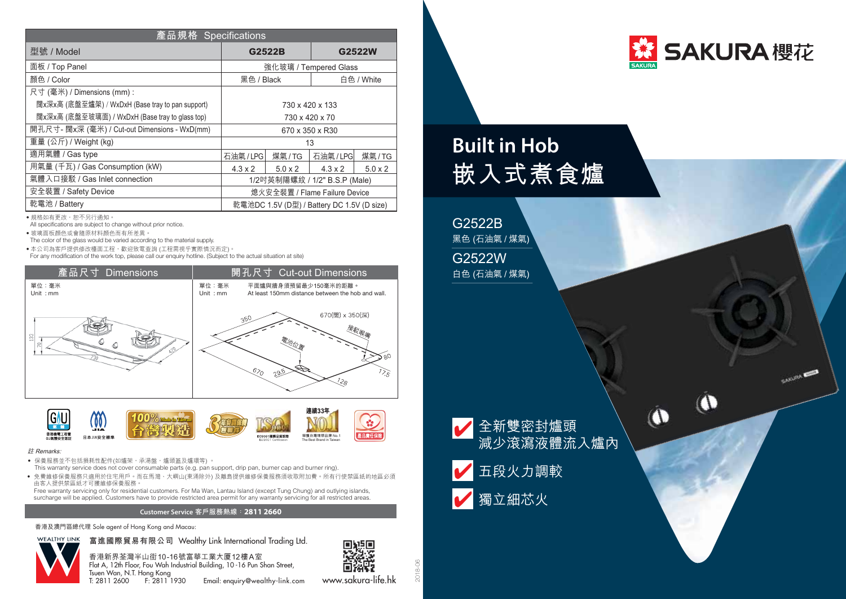| 產品規格 Specifications                              |                                            |                  |                |                |
|--------------------------------------------------|--------------------------------------------|------------------|----------------|----------------|
| 型號 / Model                                       |                                            | G2522B<br>G2522W |                |                |
| 面板 / Top Panel                                   | 強化玻璃 / Tempered Glass                      |                  |                |                |
| 顏色 / Color                                       | 黑色 / Black                                 |                  | 白色 / White     |                |
| 尺寸 (毫米) / Dimensions (mm):                       |                                            |                  |                |                |
| 闊x深x高 (底盤至爐架) / WxDxH (Base tray to pan support) | 730 x 420 x 133                            |                  |                |                |
| 闊x深x高 (底盤至玻璃面) / WxDxH (Base tray to glass top)  | 730 x 420 x 70                             |                  |                |                |
| 開孔尺寸- 闊x深 (毫米) / Cut-out Dimensions - WxD(mm)    | 670 x 350 x R30                            |                  |                |                |
| 重量 (公斤) / Weight (kg)                            | 13                                         |                  |                |                |
| 適用氣體 / Gas type                                  | 石油氣/LPG                                    | 煤氣/TG            | 石油氣/LPG        | 煤氣/TG          |
| 用氣量 (千瓦) / Gas Consumption (kW)                  | $4.3 \times 2$                             | $5.0 \times 2$   | $4.3 \times 2$ | $5.0 \times 2$ |
| 氣體入口接駁 / Gas Inlet connection                    | 1/2吋英制陽螺紋 / 1/2" B.S.P (Male)              |                  |                |                |
| 安全裝置 / Safety Device                             | 熄火安全裝置 / Flame Failure Device              |                  |                |                |
| 乾電池 / Battery                                    | 乾電池DC 1.5V (D型) / Battery DC 1.5V (D size) |                  |                |                |

• 規格如有更改, 恕不另行通知。

All specifications are subject to change without prior notice.

‧玻璃面板顏色或會隨原材料顏色而有所差異。

The color of the glass would be varied according to the material supply.

● 本公司為客戶提供修改檯面工程,歡迎致電查詢 (工程需視乎實際情況而定)。

For any modification of the work top, please call our enquiry hotline. (Subject to the actual situation at site)





## 註 Remarks:

- 保養服務並不包括損耗性配件(如爐架,承湯盤,爐頭蓋及爐環等) 。
- This warranty service does not cover consumable parts (e.g. pan support, drip pan, burner cap and burner ring). ● 免費維修保養服務只滴用於住宅用戶。而在馬灣、大嶼山(東涌除外) 及離島提供維修保養服務須收取附加費。所有行使禁區紙的地區必須
- 由客人提供禁區紙才可獲維修保養服務。 Free warranty servicing only for residential customers. For Ma Wan, Lantau Island (except Tung Chung) and outlying islands,

surcharge will be applied. Customers have to provide restricted area permit for any warranty servicing for all restricted areas.

## **Customer Service 客戶服務熱線**:**2811 2660**

香港及澳門區總代理 Sole agent of Hong Kong and Macau:



香港新界荃灣半山街10-16號富華工業大厦12樓A室 Flat A, 12th Floor, Fou Wah Industrial Building, 10 -16 Pun Shan Street, Tsuen Wan, N.T. Hong Kong<br>T: 2811 2600 F: 2811 1930

Email: enquiry@wealthy-link.com



www.sakura-life.hk

2018-06



 $T$ 

O

**CAKLINA ROO** 

## **Built in Hob 嵌入式煮食爐**



G2522W 白色 (石油氣 / 煤氣)



減少滾瀉液體流入爐內

■獨立細芯火